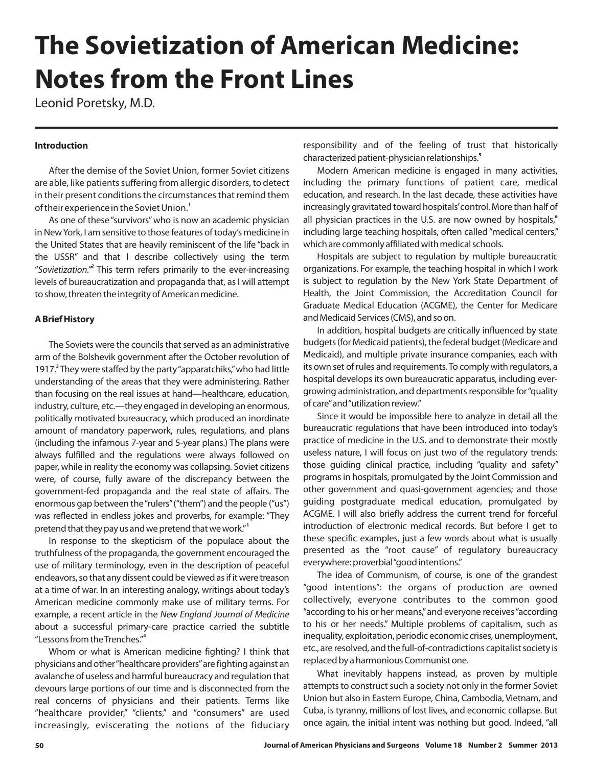# **The Sovietization of American Medicine: Notes from the Front Lines**

Leonid Poretsky, M.D.

#### **Introduction**

After the demise of the Soviet Union, former Soviet citizens are able, like patients suffering from allergic disorders, to detect in their present conditions the circumstances that remind them of their experience in the Soviet Union. **1**

As one of these "survivors" who is now an academic physician in New York, I am sensitive to those features of today's medicine in the United States that are heavily reminiscent of the life "back in the USSR" and that I describe collectively using the term "Sovietization.<sup>"</sup> This term refers primarily to the ever-increasing levels of bureaucratization and propaganda that, as I will attempt to show, threaten the integrity of American medicine.

### **A Brief History**

The Soviets were the councils that served as an administrative arm of the Bolshevik government after the October revolution of 1917.<sup>3</sup> They were staffed by the party "apparatchiks," who had little understanding of the areas that they were administering. Rather than focusing on the real issues at hand—healthcare, education, industry, culture, etc.—they engaged in developing an enormous, politically motivated bureaucracy, which produced an inordinate amount of mandatory paperwork, rules, regulations, and plans (including the infamous 7-year and 5-year plans.) The plans were always fulfilled and the regulations were always followed on paper, while in reality the economy was collapsing. Soviet citizens were, of course, fully aware of the discrepancy between the government-fed propaganda and the real state of affairs. The enormous gap between the"rulers"("them") and the people ("us") was reflected in e ndless jokes and proverbs, for example: "They pretend that they pay us and we pretend that we work." **1**

In response to the skepticism of the populace about the truthfulness of the propaganda, the government encouraged the use of military terminology, even in the description of peaceful endeavors, so that any dissent could be viewed as if it were treason at a time of war. In an interesting analogy, writings about today's American medicine commonly make use of military terms. For example, a recent article in the *New England Journal of Medicine* about a successful primary-care practice carried the subtitle "Lessons from theTrenches." **4**

Whom or what is American medicine fighting? I think that physicians and other"healthcare providers"are fighting against an avalanche of useless and harmful bureaucracy and regulation that devours large portions of our time and is disconnected from the real concerns of physicians and their patients. Terms like "healthcare provider," "clients," and "consumers" are used increasingly, eviscerating the notions of the fiduciary responsibility and of the feeling of trust that historically characterized patient-physician relationships. **5**

Modern American medicine is engaged in many activities, including the primary functions of patient care, medical education, and research. In the last decade, these activities have increasingly gravitated toward hospitals'control. More than half of all physician practices in the U.S. are now owned by hospitals, **6** including large teaching hospitals, often called "medical centers," which are commonly affiliated with medical schools.

Hospitals are subject to regulation by multiple bureaucratic organizations. For example, the teaching hospital in which I work is subject to regulation by the New York State Department of Health, the Joint Commission, the Accreditation Council for Graduate Medical Education (ACGME), the Center for Medicare and Medicaid Services (CMS), and so on.

In addition, hospital budgets are critically influenced by state budgets (for Medicaid patients), the federal budget (Medicare and Medicaid), and multiple private insurance companies, each with its own set of rules and requirements. To comply with regulators, a hospital develops its own bureaucratic apparatus, including evergrowing administration, and departments responsible for"quality of care"and"utilization review."

Since it would be impossible here to analyze in detail all the bureaucratic regulations that have been introduced into today's practice of medicine in the U.S. and to demonstrate their mostly useless nature, I will focus on just two of the regulatory trends: those guiding clinical practice, including "quality and safety" programs in hospitals, promulgated by the Joint Commission and other government and quasi-government agencies; and those guiding postgraduate medical education, promulgated by ACGME. I will also briefly address the current trend for forceful introduction of electronic medical records. But before I get to these specific examples, just a few words about what is usually presented as the "root cause" of regulatory bureaucracy everywhere: proverbial"good intentions."

The idea of Communism, of course, is one of the grandest "good intentions": the organs of production are owned collectively, everyone contributes to the common good "according to his or her means," and everyone receives "according to his or her needs." Multiple problems of capitalism, such as inequality, exploitation, periodic economic crises, unemployment, etc., are resolved, and the full-of-contradictions capitalist society is replaced by a harmonious Communist one.

What inevitably happens instead, as proven by multiple attempts to construct such a society not only in the former Soviet Union but also in Eastern Europe, China, Cambodia, Vietnam, and Cuba, is tyranny, millions of lost lives, and economic collapse. But once again, the initial intent was nothing but good. Indeed, "all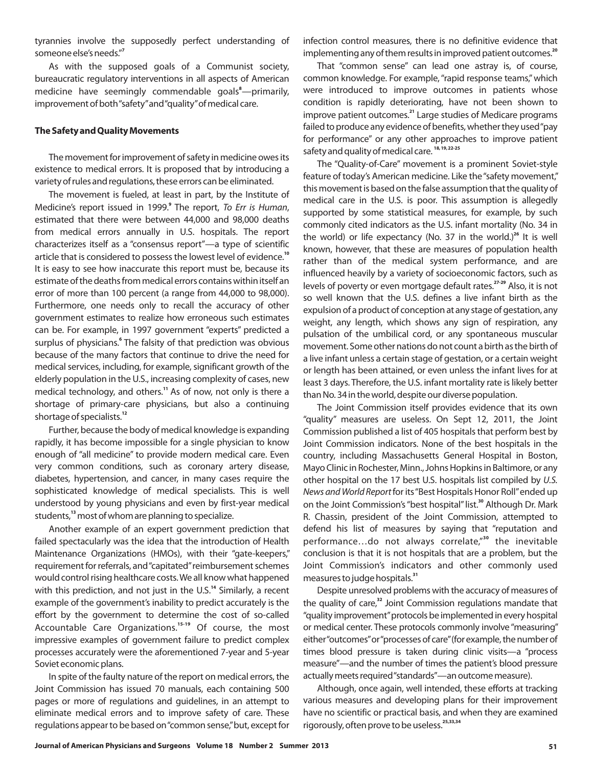tyrannies involve the supposedly perfect understanding of someone else's needs." **7**

As with the supposed goals of a Communist society, bureaucratic regulatory interventions in all aspects of American medicine have seemingly commendable goals<sup>8</sup>-primarily, improvement of both"safety"and"quality"of medical care.

#### **The Safety and Quality Movements**

The movement for improvement of safety in medicine owes its existence to medical errors. It is proposed that by introducing a variety of rules and regulations, these errors can be eliminated.

The movement is fueled, at least in part, by the Institute of Medicine's report issued in 1999.<sup>9</sup> The report, To Err is Human, estimated that there were between 44,000 and 98,000 deaths from medical errors annually in U.S. hospitals. The report characterizes itself as a "consensus report"—a type of scientific article that is considered to possess the lowest level of evidence. **10** It is easy to see how inaccurate this report must be, because its estimate of the deaths from medical errors contains within itself an error of more than 100 percent (a range from 44,000 to 98,000). Furthermore, one needs only to recall the accuracy of other government estimates to realize how erroneous such estimates can be. For example, in 1997 government "experts" predicted a surplus of physicians.<sup>6</sup> The falsity of that prediction was obvious because of the many factors that continue to drive the need for medical services, including, for example, significant growth of the elderly population in the U.S., increasing complexity of cases, new medical technology, and others.<sup>11</sup> As of now, not only is there a shortage of primary-care physicians, but also a continuing shortage of specialists. **12**

Further, because the body of medical knowledge is expanding rapidly, it has become impossible for a single physician to know enough of "all medicine" to provide modern medical care. Even very common conditions, such as coronary artery disease, diabetes, hypertension, and cancer, in many cases require the sophisticated knowledge of medical specialists. This is well understood by young physicians and even by first-year medical students,<sup>13</sup> most of whom are planning to specialize.

Another example of an expert government prediction that failed spectacularly was the idea that the introduction of Health Maintenance Organizations (HMOs), with their "gate-keepers," requirement for referrals, and"capitated"reimbursement schemes would control rising healthcare costs. We all know what happened with this prediction, and not just in the U.S.<sup>14</sup> Similarly, a recent example of the government's inability to predict accurately is the effort by the government to determine the cost of so-called Accountable Care Organizations.<sup>15-19</sup> Of course, the most impressive examples of government failure to predict complex processes accurately were the aforementioned 7-year and 5-year Soviet economic plans.

In spite of the faulty nature of the report on medical errors, the Joint Commission has issued 70 manuals, each containing 500 pages or more of regulations and guidelines, in an attempt to eliminate medical errors and to improve safety of care. These regulations appear to be based on"common sense,"but, except for infection control measures, there is no definitive evidence that implementing any of them results in improved patient outcomes. **20**

That "common sense" can lead one astray is, of course, common knowledge. For example, "rapid response teams," which were introduced to improve outcomes in patients whose condition is rapidly deteriorating, have not been shown to improve patient outcomes.<sup>21</sup> Large studies of Medicare programs failed to produce any evidence of benefits, whether they used"pay for performance" or any other approaches to improve patient safety and quality of medical care. **18, 19, 22-25**

The "Quality-of-Care" movement is a prominent Soviet-style feature of today's American medicine. Like the "safety movement," this movement is based on the false assumption that the quality of medical care in the U.S. is poor. This assumption is allegedly supported by some statistical measures, for example, by such commonly cited indicators as the U.S. infant mortality (No. 34 in the world) or life expectancy (No. 37 in the world.)<sup>26</sup> It is well known, however, that these are measures of population health rather than of the medical system performance, and are influenced heavily by a variety of socioeconomic factors, such as levels of poverty or even mortgage default rates.<sup>27-29</sup> Also, it is not so well known that the U.S. defines a live infant birth as the expulsion of a product of conception at any stage of gestation, any weight, any length, which shows any sign of respiration, any pulsation of the umbilical cord, or any spontaneous muscular movement. Some other nations do not count a birth as the birth of a live infant unless a certain stage of gestation, or a certain weight or length has been attained, or even unless the infant lives for at least 3 days. Therefore, the U.S. infant mortality rate is likely better than No. 34 in the world, despite our diverse population.

The Joint Commission itself provides evidence that its own "quality" measures are useless. On Sept 12, 2011, the Joint Commission published a list of 405 hospitals that perform best by Joint Commission indicators. None of the best hospitals in the country, including Massachusetts General Hospital in Boston, Mayo Clinic in Rochester, Minn., Johns Hopkins in Baltimore, or any other hospital on the 17 best U.S. hospitals list compiled by *U.S.* News and World Report for its "Best Hospitals Honor Roll" ended up on the Joint Commission's "best hospital" list.<sup>30</sup> Although Dr. Mark R. Chassin, president of the Joint Commission, attempted to defend his list of measures by saying that "reputation and performance...do not always correlate,"<sup>30</sup> the inevitable conclusion is that it is not hospitals that are a problem, but the Joint Commission's indicators and other commonly used measures to judge hospitals. **31**

Despite unresolved problems with the accuracy of measures of the quality of care,<sup>32</sup> Joint Commission regulations mandate that "quality improvement"protocols be implemented in every hospital or medical center. These protocols commonly involve "measuring" either"outcomes"or"processes of care"(for example, the number of times blood pressure is taken during clinic visits—a "process measure"—and the number of times the patient's blood pressure actually meets required"standards"—an outcome measure).

Although, once again, well intended, these efforts at tracking various measures and developing plans for their improvement have no scientific or practical basis, and when they are examined rigorously, often prove to be useless. **25,33,34**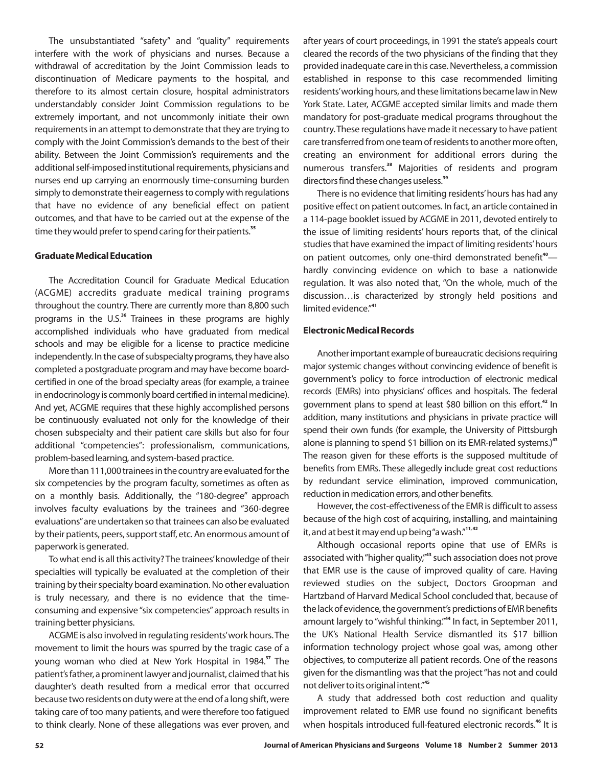The unsubstantiated "safety" and "quality" requirements interfere with the work of physicians and nurses. Because a withdrawal of accreditation by the Joint Commission leads to discontinuation of Medicare payments to the hospital, and therefore to its almost certain closure, hospital administrators understandably consider Joint Commission regulations to be extremely important, and not uncommonly initiate their own requirements in an attempt to demonstrate that they are trying to comply with the Joint Commission's demands to the best of their ability. Between the Joint Commission's requirements and the additional self-imposed institutional requirements, physicians and nurses end up carrying an enormously time-consuming burden simply to demonstrate their eagerness to comply with regulations that have no evidence of any beneficial effect on patient outcomes, and that have to be carried out at the expense of the time they would prefer to spend caring for their patients. **35**

#### **Graduate Medical Education**

The Accreditation Council for Graduate Medical Education (ACGME) accredits graduate medical training programs throughout the country. There are currently more than 8,800 such programs in the U.S.<sup>36</sup> Trainees in these programs are highly accomplished individuals who have graduated from medical schools and may be eligible for a license to practice medicine independently. In the case of subspecialty programs, they have also completed a postgraduate program and may have become boardcertified in one of the broad specialty areas (for example, a trainee in endocrinology is commonly board certified in internal medicine). And yet, ACGME requires that these highly accomplished persons be continuously evaluated not only for the knowledge of their chosen subspecialty and their patient care skills but also for four additional "competencies": professionalism, communications, problem-based learning, and system-based practice.

More than 111,000 trainees in the country are evaluated for the six competencies by the program faculty, sometimes as often as on a monthly basis. Additionally, the "180-degree" approach involves faculty evaluations by the trainees and "360-degree evaluations"are undertaken so that trainees can also be evaluated by their patients, peers, support staff, etc. An enormous amount of paperwork is generated.

To what end is all this activity? The trainees'knowledge of their specialties will typically be evaluated at the completion of their training by their specialty board examination. No other evaluation is truly necessary, and there is no evidence that the timeconsuming and expensive "six competencies" approach results in training better physicians.

ACGME is also involved in regulating residents'work hours.The movement to limit the hours was spurred by the tragic case of a young woman who died at New York Hospital in 1984.<sup>37</sup> The patient's father, a prominent lawyer and journalist, claimed that his daughter's death resulted from a medical error that occurred because two residents on duty were at the end of a long shift, were taking care of too many patients, and were therefore too fatigued to think clearly. None of these allegations was ever proven, and after years of court proceedings, in 1991 the state's appeals court cleared the records of the two physicians of the finding that they provided inadequate care in this case. Nevertheless, a commission established in response to this case recommended limiting residents'working hours, and these limitations became law in New York State. Later, ACGME accepted similar limits and made them mandatory for post-graduate medical programs throughout the country. These regulations have made it necessary to have patient care transferred from one team of residents to another more often, creating an environment for additional errors during the numerous transfers.<sup>38</sup> Majorities of residents and program directors find these changes useless. **39**

There is no evidence that limiting residents'hours has had any positive effect on patient outcomes. In fact, an article contained in a 114-page booklet issued by ACGME in 2011, devoted entirely to the issue of limiting residents' hours reports that, of the clinical studies that have examined the impact of limiting residents'hours on patient outcomes, only one-third demonstrated benefit<sup>40</sup> hardly convincing evidence on which to base a nationwide regulation. It was also noted that, "On the whole, much of the discussion…is characterized by strongly held positions and limited evidence." **41**

#### **Electronic Medical Records**

Another important example of bureaucratic decisions requiring major systemic changes without convincing evidence of benefit is government's policy to force introduction of electronic medical records (EMRs) into physicians' offices and hospitals. The federal government plans to spend at least \$80 billion on this effort.<sup>42</sup> In addition, many institutions and physicians in private practice will spend their own funds (for example, the University of Pittsburgh alone is planning to spend \$1 billion on its EMR-related systems.) **43** The reason given for these efforts is the supposed multitude of benefits from EMRs. These allegedly include great cost reductions by redundant service elimination, improved communication, reduction in medication errors, and other benefits.

However, the cost-effectiveness of the EMR is difficult to assess because of the high cost of acquiring, installing, and maintaining it, and at best it may end up being"a wash." **11, 42**

Although occasional reports opine that use of EMRs is associated with "higher quality,"<sup>43</sup> such association does not prove that EMR use is the cause of improved quality of care. Having reviewed studies on the subject, Doctors Groopman and Hartzband of Harvard Medical School concluded that, because of the lack of evidence, the government's predictions of EMR benefits amount largely to "wishful thinking."<sup>44</sup> In fact, in September 2011, the UK's National Health Service dismantled its \$17 billion information technology project whose goal was, among other objectives, to computerize all patient records. One of the reasons given for the dismantling was that the project "has not and could not deliver to its original intent." **45**

A study that addressed both cost reduction and quality improvement related to EMR use found no significant benefits when hospitals introduced full-featured electronic records.<sup>46</sup> It is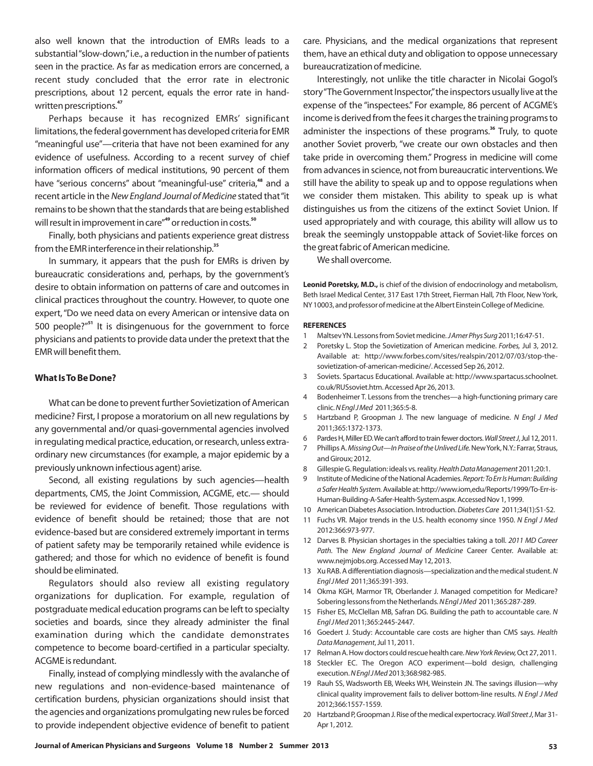also well known that the introduction of EMRs leads to a substantial"slow-down,"i.e., a reduction in the number of patients seen in the practice. As far as medication errors are concerned, a recent study concluded that the error rate in electronic prescriptions, about 12 percent, equals the error rate in handwritten prescriptions. **47**

Perhaps because it has recognized EMRs' significant limitations, the federal government has developed criteria for EMR "meaningful use"—criteria that have not been examined for any evidence of usefulness. According to a recent survey of chief information officers of medical institutions, 90 percent of them have "serious concerns" about "meaningful-use" criteria,<sup>48</sup> and a recent article in the New England Journal of Medicine stated that "it remains to be shown that the standards that are being established will result in improvement in care"<sup>49</sup> or reduction in costs.<sup>50</sup>

Finally, both physicians and patients experience great distress from the EMR interference in their relationship. **35**

In summary, it appears that the push for EMRs is driven by bureaucratic considerations and, perhaps, by the government's desire to obtain information on patterns of care and outcomes in clinical practices throughout the country. However, to quote one expert, "Do we need data on every American or intensive data on 500 people?"<sup>51</sup> It is disingenuous for the government to force physicians and patients to provide data under the pretext that the EMR will benefit them.

#### **What IsTo Be Done?**

What can be done to prevent further Sovietization of American medicine? First, I propose a moratorium on all new regulations by any governmental and/or quasi-governmental agencies involved in regulating medical practice, education, or research, unless extraordinary new circumstances (for example, a major epidemic by a previously unknown infectious agent) arise.

Second, all existing regulations by such agencies—health departments, CMS, the Joint Commission, ACGME, etc.— should be reviewed for evidence of benefit. Those regulations with evidence of benefit should be retained; those that are not evidence-based but are considered extremely important in terms of patient safety may be temporarily retained while evidence is gathered; and those for which no evidence of benefit is found should be eliminated.

Regulators should also review all existing regulatory organizations for duplication. For example, regulation of postgraduate medical education programs can be left to specialty societies and boards, since they already administer the final examination during which the candidate demonstrates competence to become board-certified in a particular specialty. ACGME is redundant.

Finally, instead of complying mindlessly with the avalanche of new regulations and non-evidence-based maintenance of certification burdens, physician organizations should insist that the agencies and organizations promulgating new rules be forced to provide independent objective evidence of benefit to patient care. Physicians, and the medical organizations that represent them, have an ethical duty and obligation to oppose unnecessary bureaucratization of medicine.

Interestingly, not unlike the title character in Nicolai Gogol's story"The Government Inspector,"the inspectors usually live at the expense of the "inspectees." For example, 86 percent of ACGME's income is derived from the fees it charges the training programs to administer the inspections of these programs.<sup>36</sup> Truly, to quote another Soviet proverb, "we create our own obstacles and then take pride in overcoming them." Progress in medicine will come from advances in science, not from bureaucratic interventions. We still have the ability to speak up and to oppose regulations when we consider them mistaken. This ability to speak up is what distinguishes us from the citizens of the extinct Soviet Union. If used appropriately and with courage, this ability will allow us to break the seemingly unstoppable attack of Soviet-like forces on the great fabric of American medicine.

We shall overcome.

Leonid Poretsky, M.D., is chief of the division of endocrinology and metabolism, Beth Israel Medical Center, 317 East 17th Street, Fierman Hall, 7th Floor, New York, NY 10003, and professor of medicine at the Albert Einstein College of Medicine.

#### **REFERENCES**

- 1 Maltsev YN. Lessons from Soviet medicine. JAmer Phys Surg 2011;16:47-51.
- 2 Poretsky L. Stop the Sovietization of American medicine. Forbes, Jul 3, 2012. Available at: http://www.forbes.com/sites/realspin/2012/07/03/stop-thesovietization-of-american-medicine/. Accessed Sep 26, 2012.
- 3 Soviets. Spartacus Educational. Available at: http://www.spartacus.schoolnet. co.uk/RUSsoviet.htm. Accessed Apr 26, 2013.
- 4 Bodenheimer T. Lessons from the trenches—a high-functioning primary care clinic. N Engl J Med 2011;365:5-8.
- 5 Hartzband P, Groopman J. The new language of medicine. *N Engl J Med* 2011;365:1372-1373.
- 6 Pardes H, Miller ED. We can't afford to train fewer doctors. Wall Street J, Jul 12, 2011.
- 7 Phillips A. Missing Out—In Praise of the Unlived Life. New York, N.Y.: Farrar, Straus, and Giroux; 2012.
- 8 Gillespie G. Regulation: ideals vs. reality. Health Data Management 2011;20:1.
- 9 Institute of Medicine of the National Academies. *Report: To Err Is Human: Building* a Safer Health System. Available at: http://www.iom,edu/Reports/1999/To-Err-is-Human-Building-A-Safer-Health-System.aspx. Accessed Nov 1, 1999.
- 10 American Diabetes Association. Introduction. Diabetes Care 2011;34(1):S1-S2.
- 11 Fuchs VR. Major trends in the U.S. health economy since 1950. *N Engl J Med* 2012:366:973-977.
- 12 Darves B. Physician shortages in the specialties taking a toll. *2011 MD Career* Path. The New England Journal of Medicine Career Center. Available at: www.nejmjobs.org. Accessed May 12, 2013.
- 13 Xu RAB. A differentiation diagnosis—specialization and the medical student. *N* 2011;365:391-393. *Engl J Med*
- 14 Okma KGH, Marmor TR, Oberlander J. Managed competition for Medicare? Sobering lessons from the Netherlands. NEngl J Med 2011;365:287-289.
- 15 Fisher ES, McClellan MB, Safran DG. Building the path to accountable care. *N* 2011;365:2445-2447. *Engl J Med*
- 16 Goedert J. Study: Accountable care costs are higher than CMS says. *Health* Data Management, Jul 11, 2011.
- 17 Relman A. How doctors could rescue health care. New York Review, Oct 27, 2011.
- 18 Steckler EC. The Oregon ACO experiment—bold design, challenging execution. NEngl J Med 2013;368:982-985.
- 19 Rauh SS, Wadsworth EB, Weeks WH, Weinstein JN. The savings illusion—why clinical quality improvement fails to deliver bottom-line results. *N Engl J Med* 2012;366:1557-1559.
- 20 Hartzband P, Groopman J. Rise of the medical expertocracy. Wall Street J, Mar 31-Apr 1, 2012.